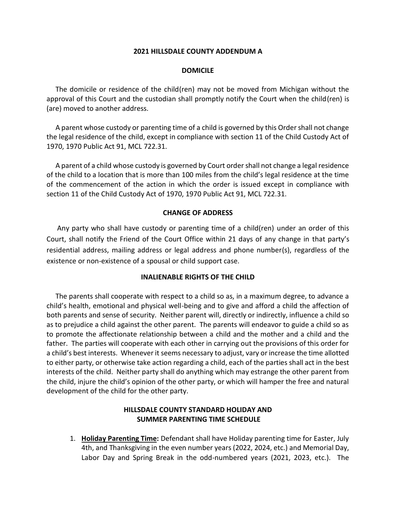### **2021 HILLSDALE COUNTY ADDENDUM A**

### **DOMICILE**

 The domicile or residence of the child(ren) may not be moved from Michigan without the approval of this Court and the custodian shall promptly notify the Court when the child(ren) is (are) moved to another address.

 A parent whose custody or parenting time of a child is governed by this Order shall not change the legal residence of the child, except in compliance with section 11 of the Child Custody Act of 1970, 1970 Public Act 91, MCL 722.31.

 A parent of a child whose custody is governed by Court order shall not change a legal residence of the child to a location that is more than 100 miles from the child's legal residence at the time of the commencement of the action in which the order is issued except in compliance with section 11 of the Child Custody Act of 1970, 1970 Public Act 91, MCL 722.31.

### **CHANGE OF ADDRESS**

 Any party who shall have custody or parenting time of a child(ren) under an order of this Court, shall notify the Friend of the Court Office within 21 days of any change in that party's residential address, mailing address or legal address and phone number(s), regardless of the existence or non-existence of a spousal or child support case.

#### **INALIENABLE RIGHTS OF THE CHILD**

 The parents shall cooperate with respect to a child so as, in a maximum degree, to advance a child's health, emotional and physical well-being and to give and afford a child the affection of both parents and sense of security. Neither parent will, directly or indirectly, influence a child so as to prejudice a child against the other parent. The parents will endeavor to guide a child so as to promote the affectionate relationship between a child and the mother and a child and the father. The parties will cooperate with each other in carrying out the provisions of this order for a child's best interests. Whenever it seems necessary to adjust, vary or increase the time allotted to either party, or otherwise take action regarding a child, each of the parties shall act in the best interests of the child. Neither party shall do anything which may estrange the other parent from the child, injure the child's opinion of the other party, or which will hamper the free and natural development of the child for the other party.

# **HILLSDALE COUNTY STANDARD HOLIDAY AND SUMMER PARENTING TIME SCHEDULE**

1. **Holiday Parenting Time:** Defendant shall have Holiday parenting time for Easter, July 4th, and Thanksgiving in the even number years (2022, 2024, etc.) and Memorial Day, Labor Day and Spring Break in the odd-numbered years (2021, 2023, etc.). The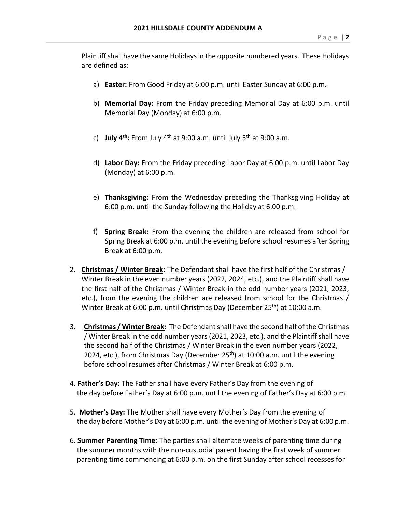Plaintiff shall have the same Holidays in the opposite numbered years. These Holidays are defined as:

- a) **Easter:** From Good Friday at 6:00 p.m. until Easter Sunday at 6:00 p.m.
- b) **Memorial Day:** From the Friday preceding Memorial Day at 6:00 p.m. until Memorial Day (Monday) at 6:00 p.m.
- c) **July 4th:** From July 4th at 9:00 a.m. until July 5th at 9:00 a.m.
- d) **Labor Day:** From the Friday preceding Labor Day at 6:00 p.m. until Labor Day (Monday) at 6:00 p.m.
- e) **Thanksgiving:** From the Wednesday preceding the Thanksgiving Holiday at 6:00 p.m. until the Sunday following the Holiday at 6:00 p.m.
- f) **Spring Break:** From the evening the children are released from school for Spring Break at 6:00 p.m. until the evening before school resumes after Spring Break at 6:00 p.m.
- 2. **Christmas / Winter Break:** The Defendant shall have the first half of the Christmas / Winter Break in the even number years (2022, 2024, etc.), and the Plaintiff shall have the first half of the Christmas / Winter Break in the odd number years (2021, 2023, etc.), from the evening the children are released from school for the Christmas / Winter Break at 6:00 p.m. until Christmas Day (December 25<sup>th</sup>) at 10:00 a.m.
- 3. **Christmas / Winter Break:** The Defendant shall have the second half of the Christmas / Winter Break in the odd number years (2021, 2023, etc.), and the Plaintiff shall have the second half of the Christmas / Winter Break in the even number years (2022, 2024, etc.), from Christmas Day (December 25<sup>th</sup>) at 10:00 a.m. until the evening before school resumes after Christmas / Winter Break at 6:00 p.m.
- 4. **Father's Day:** The Father shall have every Father's Day from the evening of the day before Father's Day at 6:00 p.m. until the evening of Father's Day at 6:00 p.m.
- 5. **Mother's Day:** The Mother shall have every Mother's Day from the evening of the day before Mother's Day at 6:00 p.m. until the evening of Mother's Day at 6:00 p.m.
- 6. **Summer Parenting Time:** The parties shall alternate weeks of parenting time during the summer months with the non-custodial parent having the first week of summer parenting time commencing at 6:00 p.m. on the first Sunday after school recesses for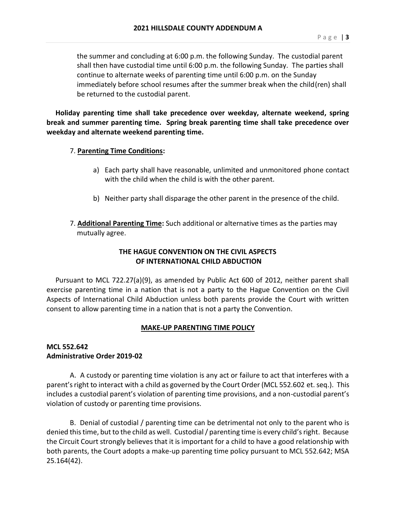the summer and concluding at 6:00 p.m. the following Sunday. The custodial parent shall then have custodial time until 6:00 p.m. the following Sunday. The parties shall continue to alternate weeks of parenting time until 6:00 p.m. on the Sunday immediately before school resumes after the summer break when the child(ren) shall be returned to the custodial parent.

 **Holiday parenting time shall take precedence over weekday, alternate weekend, spring break and summer parenting time. Spring break parenting time shall take precedence over weekday and alternate weekend parenting time.**

### 7. **Parenting Time Conditions:**

- a) Each party shall have reasonable, unlimited and unmonitored phone contact with the child when the child is with the other parent.
- b) Neither party shall disparage the other parent in the presence of the child.
- 7. **Additional Parenting Time:** Such additional or alternative times as the parties may mutually agree.

# **THE HAGUE CONVENTION ON THE CIVIL ASPECTS OF INTERNATIONAL CHILD ABDUCTION**

 Pursuant to MCL 722.27(a)(9), as amended by Public Act 600 of 2012, neither parent shall exercise parenting time in a nation that is not a party to the Hague Convention on the Civil Aspects of International Child Abduction unless both parents provide the Court with written consent to allow parenting time in a nation that is not a party the Convention.

## **MAKE-UP PARENTING TIME POLICY**

## **MCL 552.642 Administrative Order 2019-02**

A. A custody or parenting time violation is any act or failure to act that interferes with a parent's right to interact with a child as governed by the Court Order (MCL 552.602 et. seq.). This includes a custodial parent's violation of parenting time provisions, and a non-custodial parent's violation of custody or parenting time provisions.

B. Denial of custodial / parenting time can be detrimental not only to the parent who is denied this time, but to the child as well. Custodial / parenting time is every child's right. Because the Circuit Court strongly believes that it is important for a child to have a good relationship with both parents, the Court adopts a make-up parenting time policy pursuant to MCL 552.642; MSA 25.164(42).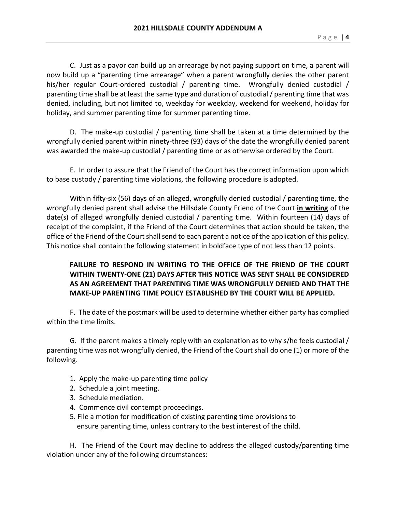C. Just as a payor can build up an arrearage by not paying support on time, a parent will now build up a "parenting time arrearage" when a parent wrongfully denies the other parent his/her regular Court-ordered custodial / parenting time. Wrongfully denied custodial / parenting time shall be at least the same type and duration of custodial / parenting time that was denied, including, but not limited to, weekday for weekday, weekend for weekend, holiday for holiday, and summer parenting time for summer parenting time.

D. The make-up custodial / parenting time shall be taken at a time determined by the wrongfully denied parent within ninety-three (93) days of the date the wrongfully denied parent was awarded the make-up custodial / parenting time or as otherwise ordered by the Court.

E. In order to assure that the Friend of the Court has the correct information upon which to base custody / parenting time violations, the following procedure is adopted.

Within fifty-six (56) days of an alleged, wrongfully denied custodial / parenting time, the wrongfully denied parent shall advise the Hillsdale County Friend of the Court **in writing** of the date(s) of alleged wrongfully denied custodial / parenting time. Within fourteen (14) days of receipt of the complaint, if the Friend of the Court determines that action should be taken, the office of the Friend of the Court shall send to each parent a notice of the application of this policy. This notice shall contain the following statement in boldface type of not less than 12 points.

# **FAILURE TO RESPOND IN WRITING TO THE OFFICE OF THE FRIEND OF THE COURT WITHIN TWENTY-ONE (21) DAYS AFTER THIS NOTICE WAS SENT SHALL BE CONSIDERED AS AN AGREEMENT THAT PARENTING TIME WAS WRONGFULLY DENIED AND THAT THE MAKE-UP PARENTING TIME POLICY ESTABLISHED BY THE COURT WILL BE APPLIED.**

F. The date of the postmark will be used to determine whether either party has complied within the time limits.

G. If the parent makes a timely reply with an explanation as to why s/he feels custodial / parenting time was not wrongfully denied, the Friend of the Court shall do one (1) or more of the following.

- 1. Apply the make-up parenting time policy
- 2. Schedule a joint meeting.
- 3. Schedule mediation.
- 4. Commence civil contempt proceedings.
- 5. File a motion for modification of existing parenting time provisions to ensure parenting time, unless contrary to the best interest of the child.

H. The Friend of the Court may decline to address the alleged custody/parenting time violation under any of the following circumstances: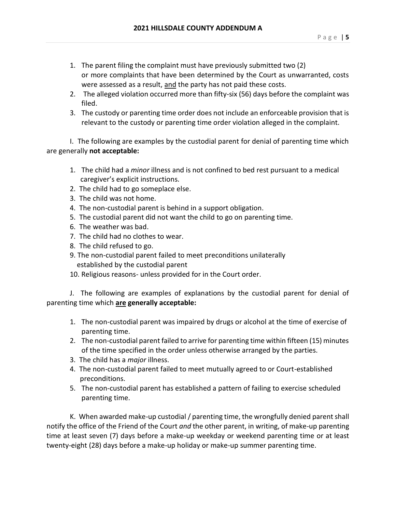- 1. The parent filing the complaint must have previously submitted two (2) or more complaints that have been determined by the Court as unwarranted, costs were assessed as a result, and the party has not paid these costs.
- 2. The alleged violation occurred more than fifty-six (56) days before the complaint was filed.
- 3. The custody or parenting time order does not include an enforceable provision that is relevant to the custody or parenting time order violation alleged in the complaint.

I. The following are examples by the custodial parent for denial of parenting time which are generally **not acceptable:**

- 1. The child had a *minor* illness and is not confined to bed rest pursuant to a medical caregiver's explicit instructions.
- 2. The child had to go someplace else.
- 3. The child was not home.
- 4. The non-custodial parent is behind in a support obligation.
- 5. The custodial parent did not want the child to go on parenting time.
- 6. The weather was bad.
- 7. The child had no clothes to wear.
- 8. The child refused to go.
- 9. The non-custodial parent failed to meet preconditions unilaterally established by the custodial parent
- 10. Religious reasons- unless provided for in the Court order.

J. The following are examples of explanations by the custodial parent for denial of parenting time which **are generally acceptable:**

- 1. The non-custodial parent was impaired by drugs or alcohol at the time of exercise of parenting time.
- 2. The non-custodial parent failed to arrive for parenting time within fifteen (15) minutes of the time specified in the order unless otherwise arranged by the parties.
- 3. The child has a *major* illness.
- 4. The non-custodial parent failed to meet mutually agreed to or Court-established preconditions.
- 5. The non-custodial parent has established a pattern of failing to exercise scheduled parenting time.

K. When awarded make-up custodial / parenting time, the wrongfully denied parent shall notify the office of the Friend of the Court *and* the other parent, in writing, of make-up parenting time at least seven (7) days before a make-up weekday or weekend parenting time or at least twenty-eight (28) days before a make-up holiday or make-up summer parenting time.